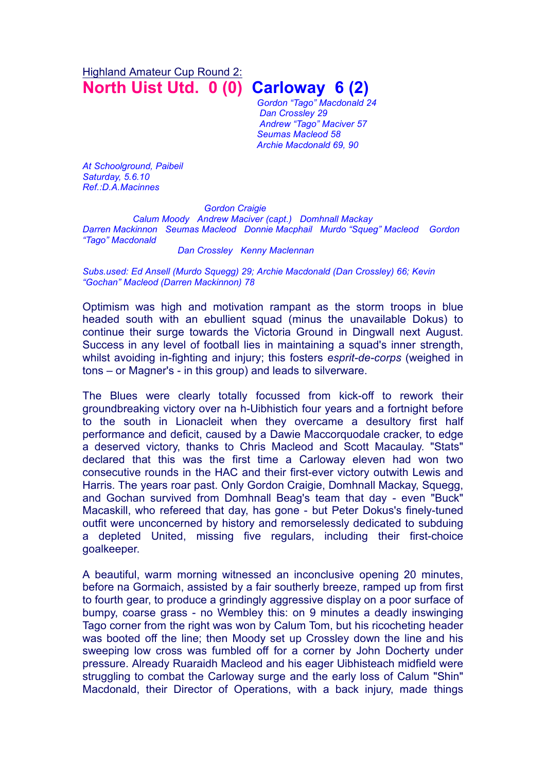Highland Amateur Cup Round 2: **North Uist Utd. 0 (0) Carloway 6 (2)**

*Gordon "Tago" Macdonald 24 Dan Crossley 29 Andrew "Tago" Maciver 57 Seumas Macleod 58*

*Archie Macdonald 69, 90*

*At Schoolground, Paibeil Saturday, 5.6.10 Ref.:D.A.Macinnes*

*Gordon Craigie*

*Calum Moody Andrew Maciver (capt.) Domhnall Mackay Darren Mackinnon Seumas Macleod Donnie Macphail Murdo "Squeg" Macleod Gordon "Tago" Macdonald*

*Dan Crossley Kenny Maclennan*

*Subs.used: Ed Ansell (Murdo Squegg) 29; Archie Macdonald (Dan Crossley) 66; Kevin "Gochan" Macleod (Darren Mackinnon) 78*

Optimism was high and motivation rampant as the storm troops in blue headed south with an ebullient squad (minus the unavailable Dokus) to continue their surge towards the Victoria Ground in Dingwall next August. Success in any level of football lies in maintaining a squad's inner strength, whilst avoiding in-fighting and injury; this fosters *esprit-de-corps* (weighed in tons – or Magner's - in this group) and leads to silverware.

The Blues were clearly totally focussed from kick-off to rework their groundbreaking victory over na h-Uibhistich four years and a fortnight before to the south in Lionacleit when they overcame a desultory first half performance and deficit, caused by a Dawie Maccorquodale cracker, to edge a deserved victory, thanks to Chris Macleod and Scott Macaulay. "Stats" declared that this was the first time a Carloway eleven had won two consecutive rounds in the HAC and their first-ever victory outwith Lewis and Harris. The years roar past. Only Gordon Craigie, Domhnall Mackay, Squegg, and Gochan survived from Domhnall Beag's team that day - even "Buck" Macaskill, who refereed that day, has gone - but Peter Dokus's finely-tuned outfit were unconcerned by history and remorselessly dedicated to subduing a depleted United, missing five regulars, including their first-choice goalkeeper.

A beautiful, warm morning witnessed an inconclusive opening 20 minutes, before na Gormaich, assisted by a fair southerly breeze, ramped up from first to fourth gear, to produce a grindingly aggressive display on a poor surface of bumpy, coarse grass - no Wembley this: on 9 minutes a deadly inswinging Tago corner from the right was won by Calum Tom, but his ricocheting header was booted off the line; then Moody set up Crossley down the line and his sweeping low cross was fumbled off for a corner by John Docherty under pressure. Already Ruaraidh Macleod and his eager Uibhisteach midfield were struggling to combat the Carloway surge and the early loss of Calum "Shin" Macdonald, their Director of Operations, with a back injury, made things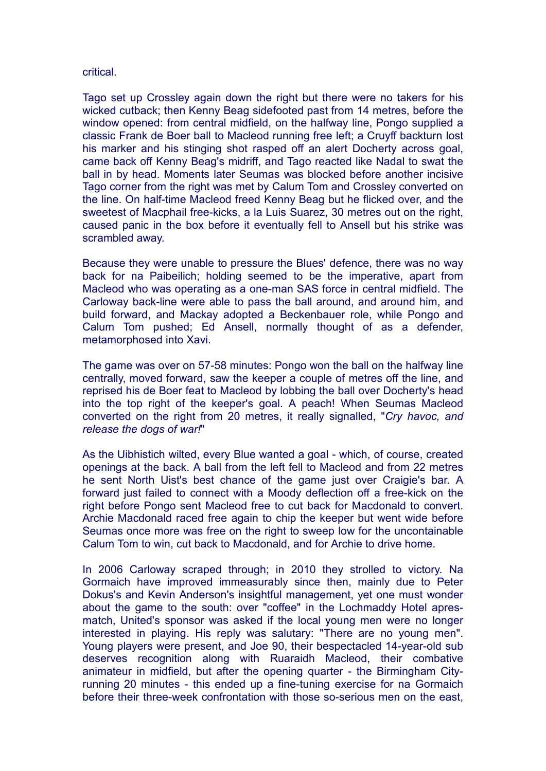## critical.

Tago set up Crossley again down the right but there were no takers for his wicked cutback; then Kenny Beag sidefooted past from 14 metres, before the window opened: from central midfield, on the halfway line, Pongo supplied a classic Frank de Boer ball to Macleod running free left; a Cruyff backturn lost his marker and his stinging shot rasped off an alert Docherty across goal, came back off Kenny Beag's midriff, and Tago reacted like Nadal to swat the ball in by head. Moments later Seumas was blocked before another incisive Tago corner from the right was met by Calum Tom and Crossley converted on the line. On half-time Macleod freed Kenny Beag but he flicked over, and the sweetest of Macphail free-kicks, a la Luis Suarez, 30 metres out on the right, caused panic in the box before it eventually fell to Ansell but his strike was scrambled away.

Because they were unable to pressure the Blues' defence, there was no way back for na Paibeilich; holding seemed to be the imperative, apart from Macleod who was operating as a one-man SAS force in central midfield. The Carloway back-line were able to pass the ball around, and around him, and build forward, and Mackay adopted a Beckenbauer role, while Pongo and Calum Tom pushed; Ed Ansell, normally thought of as a defender, metamorphosed into Xavi.

The game was over on 57-58 minutes: Pongo won the ball on the halfway line centrally, moved forward, saw the keeper a couple of metres off the line, and reprised his de Boer feat to Macleod by lobbing the ball over Docherty's head into the top right of the keeper's goal. A peach! When Seumas Macleod converted on the right from 20 metres, it really signalled, "*Cry havoc, and release the dogs of war!*"

As the Uibhistich wilted, every Blue wanted a goal - which, of course, created openings at the back. A ball from the left fell to Macleod and from 22 metres he sent North Uist's best chance of the game just over Craigie's bar. A forward just failed to connect with a Moody deflection off a free-kick on the right before Pongo sent Macleod free to cut back for Macdonald to convert. Archie Macdonald raced free again to chip the keeper but went wide before Seumas once more was free on the right to sweep low for the uncontainable Calum Tom to win, cut back to Macdonald, and for Archie to drive home.

In 2006 Carloway scraped through; in 2010 they strolled to victory. Na Gormaich have improved immeasurably since then, mainly due to Peter Dokus's and Kevin Anderson's insightful management, yet one must wonder about the game to the south: over "coffee" in the Lochmaddy Hotel apresmatch, United's sponsor was asked if the local young men were no longer interested in playing. His reply was salutary: "There are no young men". Young players were present, and Joe 90, their bespectacled 14-year-old sub deserves recognition along with Ruaraidh Macleod, their combative animateur in midfield, but after the opening quarter - the Birmingham Cityrunning 20 minutes - this ended up a fine-tuning exercise for na Gormaich before their three-week confrontation with those so-serious men on the east,